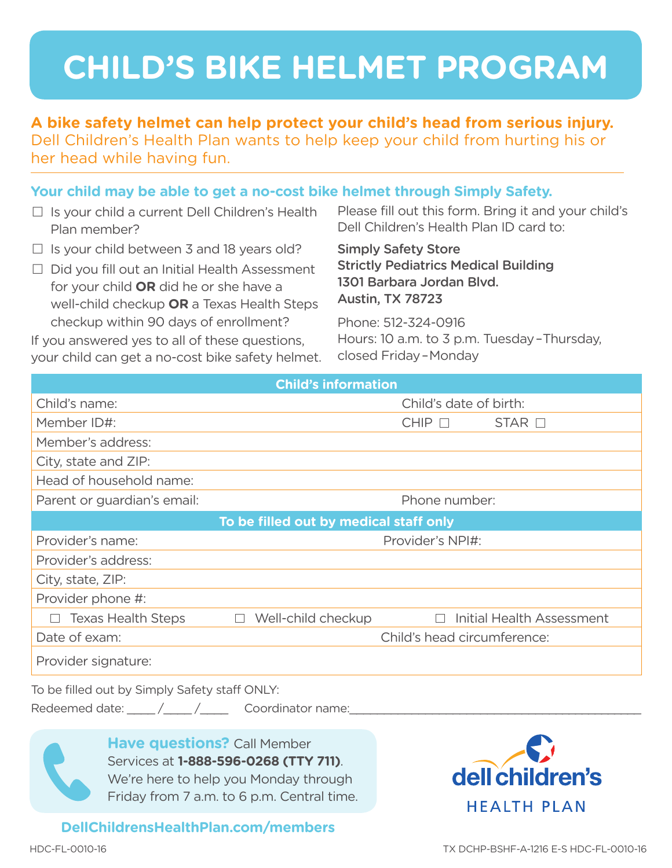# **CHILD'S BIKE HELMET PROGRAM**

#### **A bike safety helmet can help protect your child's head from serious injury.**  Dell Children's Health Plan wants to help keep your child from hurting his or her head while having fun.

#### **Your child may be able to get a no-cost bike helmet through Simply Safety.**

- $\Box$  Is your child a current Dell Children's Health Plan member?
- $\Box$  Is your child between 3 and 18 years old?
- $\Box$  Did you fill out an Initial Health Assessment for your child **OR** did he or she have a well-child checkup **OR** a Texas Health Steps checkup within 90 days of enrollment?

If you answered yes to all of these questions, your child can get a no-cost bike safety helmet. Please fill out this form. Bring it and your child's Dell Children's Health Plan ID card to:

Simply Safety Store Strictly Pediatrics Medical Building 1301 Barbara Jordan Blvd. Austin, TX 78723

Phone: 512-324-0916 Hours: 10 a.m. to 3 p.m. Tuesday – Thursday, closed Friday – Monday

| <b>Child's information</b>                                                                                                   |                                            |  |
|------------------------------------------------------------------------------------------------------------------------------|--------------------------------------------|--|
| Child's name:                                                                                                                | Child's date of birth:                     |  |
| Member ID#:                                                                                                                  | $CHIP$ $\Box$<br>$STAR$ $\square$          |  |
| Member's address:                                                                                                            |                                            |  |
| City, state and ZIP:                                                                                                         |                                            |  |
| Head of household name:                                                                                                      |                                            |  |
| Parent or guardian's email:                                                                                                  | Phone number:                              |  |
| To be filled out by medical staff only                                                                                       |                                            |  |
| Provider's name:                                                                                                             | Provider's NPI#:                           |  |
| Provider's address:                                                                                                          |                                            |  |
| City, state, ZIP:                                                                                                            |                                            |  |
| Provider phone #:                                                                                                            |                                            |  |
| <b>Texas Health Steps</b><br>$\Box$ Well-child checkup                                                                       | <b>Initial Health Assessment</b><br>$\Box$ |  |
| Date of exam:                                                                                                                | Child's head circumference:                |  |
| Provider signature:                                                                                                          |                                            |  |
| To be filled out by Simply Safety staff ONLY:                                                                                |                                            |  |
| Redeemed date: ____/____/_____ Coordinator name: _________                                                                   |                                            |  |
| <b>Have questions?</b> Call Member<br>Services at 1-888-596-0268 (TTY 711).<br>$M_{\odot}$ is hore to hole you Mondouthrough |                                            |  |

We're here to help you Monday through Friday from 7 a.m. to 6 p.m. Central time.

**DellChildrensHealthPlan.com/members**